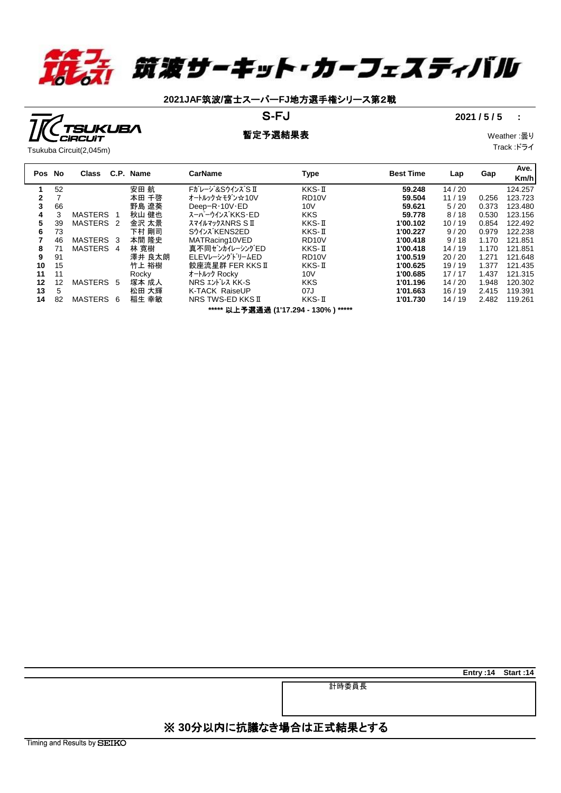

# **2021JAF**筑波**/**富士スーパー**FJ**地方選手権シリース第2戦

## S-FJ 2021 / 5 / 5  $\cdot$  **2021**

### **暫定予選結果表** Weather :曇り

Track :ドライ

**Entry :14 Start :14**

**UKUBA** 

| Pos No |                                      | Class                |                | C.P. Name | <b>CarName</b>                | Type               | <b>Best Time</b> | Lap   | Gap   | Ave.<br>Km/h |  |
|--------|--------------------------------------|----------------------|----------------|-----------|-------------------------------|--------------------|------------------|-------|-------|--------------|--|
|        | 52                                   |                      |                | 安田 航      | Fガレージ&SウインズS II               | KKS-II             | 59.248           | 14/20 |       | 124.257      |  |
| 2      |                                      |                      |                | 本田 千啓     | オートルック☆モダン☆10∨                | RD <sub>10</sub> V | 59.504           | 11/19 | 0.256 | 123.723      |  |
| 3      | 66                                   |                      |                | 野島 遼葵     | Deep-R $\cdot$ 10V $\cdot$ ED | 10V                | 59.621           | 5/20  | 0.373 | 123.480      |  |
| 4      |                                      | <b>MASTERS</b>       |                | 秋山 健也     | スーパーウインズ KKS・ED               | <b>KKS</b>         | 59.778           | 8/18  | 0.530 | 123.156      |  |
| 5      | 39                                   | MASTERS <sub>2</sub> |                | 金沢 太景     | <b>Z71ルマックスNRSSII</b>         | KKS-II             | 1'00.102         | 10/19 | 0.854 | 122.492      |  |
| 6      | 73                                   |                      |                | 下村 剛司     | Sウインズ KENS2ED                 | KKS-II             | 1'00.227         | 9/20  | 0.979 | 122.238      |  |
|        | 46                                   | MASTERS 3            |                | 本間 降史     | MATRacing10VED                | RD <sub>10</sub> V | 1'00.418         | 9/18  | 1.170 | 121.851      |  |
| 8      | 71                                   | <b>MASTERS</b>       | $\overline{4}$ | 林 寛樹      | 真不同ゼンカイレーシングED                | KKS-II             | 1'00.418         | 14/19 | 1.170 | 121.851      |  |
| 9      | 91                                   |                      |                | 澤井 良太朗    | ELEVレーシングドリームED               | RD <sub>10</sub> V | 1'00.519         | 20/20 | 1.271 | 121.648      |  |
| 10     | 15                                   |                      |                | 竹上 裕樹     | 餃座流星群 FER KKS II              | KKS-II             | 1'00.625         | 19/19 | 1.377 | 121.435      |  |
| 11     | 11                                   |                      |                | Rocky     | オートルック Rocky                  | 10V                | 1'00.685         | 17/17 | 1.437 | 121.315      |  |
| 12     | 12                                   | <b>MASTERS</b>       | - 5            | 塚本 成人     | <b>NRS エントレス KK-S</b>         | <b>KKS</b>         | 1'01.196         | 14/20 | 1.948 | 120.302      |  |
| 13     | 5                                    |                      |                | 松田 大輝     | <b>K-TACK RaiseUP</b>         | 07J                | 1'01.663         | 16/19 | 2.415 | 119.391      |  |
| 14     | 82                                   | <b>MASTERS</b>       | 6              | 稲生 幸敏     | NRS TWS-ED KKS II             | KKS-II             | 1'01.730         | 14/19 | 2.482 | 119.261      |  |
|        | ***** 以上予選通過 (1'17.294 - 130%) ***** |                      |                |           |                               |                    |                  |       |       |              |  |

| ※ 30分以内に抗議なき場合は正式結果とする |  |
|------------------------|--|

計時委員長